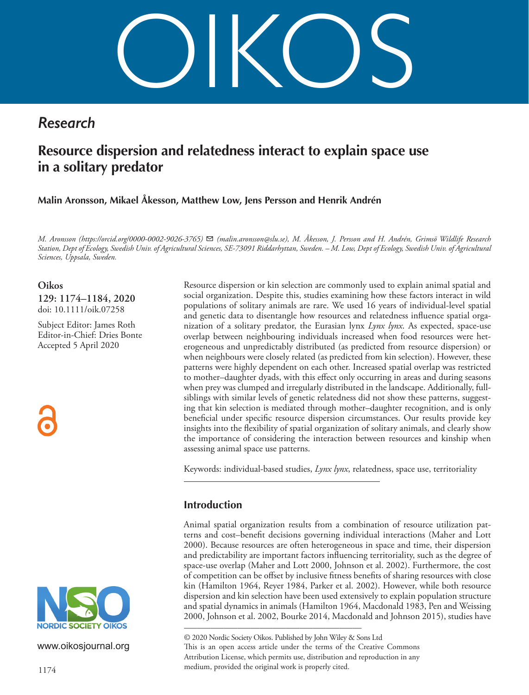OIKOS

## *Research*

# **Resource dispersion and relatedness interact to explain space use in a solitary predator**

**Malin Aronsson, Mikael Åkesson, Matthew Low, Jens Persson and Henrik Andrén**

*M. Aronsson (https://orcid.org/0000-0002-9026-3765)* ✉ *(malin.aronsson@slu.se), M. Åkesson, J. Persson and H. Andrén, Grimsö Wildlife Research Station, Dept of Ecology, Swedish Univ. of Agricultural Sciences, SE-73091 Riddarhyttan, Sweden. – M. Low, Dept of Ecology, Swedish Univ. of Agricultural Sciences, Uppsala, Sweden.*

**Oikos**

**129: 1174–1184, 2020** [doi: 10.1111/oik.07258](http://dx.doi.org/10.1111/oik.07258)

Subject Editor: James Roth Editor-in-Chief: Dries Bonte Accepted 5 April 2020





www.oikosjournal.org

Resource dispersion or kin selection are commonly used to explain animal spatial and social organization. Despite this, studies examining how these factors interact in wild populations of solitary animals are rare. We used 16 years of individual-level spatial and genetic data to disentangle how resources and relatedness influence spatial organization of a solitary predator, the Eurasian lynx *Lynx lynx*. As expected, space-use overlap between neighbouring individuals increased when food resources were heterogeneous and unpredictably distributed (as predicted from resource dispersion) or when neighbours were closely related (as predicted from kin selection). However, these patterns were highly dependent on each other. Increased spatial overlap was restricted to mother–daughter dyads, with this effect only occurring in areas and during seasons when prey was clumped and irregularly distributed in the landscape. Additionally, fullsiblings with similar levels of genetic relatedness did not show these patterns, suggesting that kin selection is mediated through mother–daughter recognition, and is only beneficial under specific resource dispersion circumstances. Our results provide key insights into the flexibility of spatial organization of solitary animals, and clearly show the importance of considering the interaction between resources and kinship when assessing animal space use patterns.

Keywords: individual-based studies, *Lynx lynx*, relatedness, space use, territoriality

## **Introduction**

Animal spatial organization results from a combination of resource utilization patterns and cost–benefit decisions governing individual interactions (Maher and Lott 2000). Because resources are often heterogeneous in space and time, their dispersion and predictability are important factors influencing territoriality, such as the degree of space-use overlap (Maher and Lott 2000, Johnson et al. 2002). Furthermore, the cost of competition can be offset by inclusive fitness benefits of sharing resources with close kin (Hamilton 1964, Reyer 1984, Parker et al. 2002). However, while both resource dispersion and kin selection have been used extensively to explain population structure and spatial dynamics in animals (Hamilton 1964, Macdonald 1983, Pen and Weissing 2000, Johnson et al. 2002, Bourke 2014, Macdonald and Johnson 2015), studies have

© 2020 Nordic Society Oikos. Published by John Wiley & Sons Ltd This is an open access article under the terms of the Creative Commons Attribution License, which permits use, distribution and reproduction in any medium, provided the original work is properly cited.

––––––––––––––––––––––––––––––––––––––––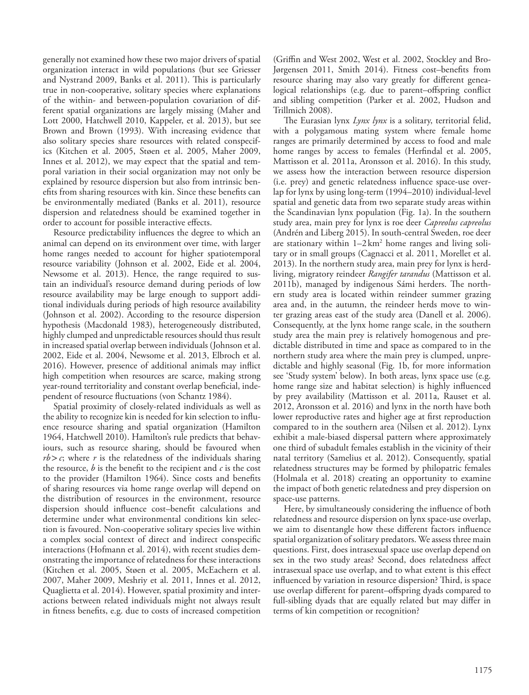generally not examined how these two major drivers of spatial organization interact in wild populations (but see Griesser and Nystrand 2009, Banks et al. 2011). This is particularly true in non-cooperative, solitary species where explanations of the within- and between-population covariation of different spatial organizations are largely missing (Maher and Lott 2000, Hatchwell 2010, Kappeler, et al. 2013), but see Brown and Brown (1993). With increasing evidence that also solitary species share resources with related conspecifics (Kitchen et al. 2005, Støen et al. 2005, Maher 2009, Innes et al. 2012), we may expect that the spatial and temporal variation in their social organization may not only be explained by resource dispersion but also from intrinsic benefits from sharing resources with kin. Since these benefits can be environmentally mediated (Banks et al. 2011), resource dispersion and relatedness should be examined together in order to account for possible interactive effects.

Resource predictability influences the degree to which an animal can depend on its environment over time, with larger home ranges needed to account for higher spatiotemporal resource variability (Johnson et al. 2002, Eide et al. 2004, Newsome et al. 2013). Hence, the range required to sustain an individual's resource demand during periods of low resource availability may be large enough to support additional individuals during periods of high resource availability (Johnson et al. 2002). According to the resource dispersion hypothesis (Macdonald 1983), heterogeneously distributed, highly clumped and unpredictable resources should thus result in increased spatial overlap between individuals (Johnson et al. 2002, Eide et al. 2004, Newsome et al. 2013, Elbroch et al. 2016). However, presence of additional animals may inflict high competition when resources are scarce, making strong year-round territoriality and constant overlap beneficial, independent of resource fluctuations (von Schantz 1984).

Spatial proximity of closely-related individuals as well as the ability to recognize kin is needed for kin selection to influence resource sharing and spatial organization (Hamilton 1964, Hatchwell 2010). Hamilton's rule predicts that behaviours, such as resource sharing, should be favoured when  $rb>c$ ; where *r* is the relatedness of the individuals sharing the resource, *b* is the benefit to the recipient and *c* is the cost to the provider (Hamilton 1964). Since costs and benefits of sharing resources via home range overlap will depend on the distribution of resources in the environment, resource dispersion should influence cost–benefit calculations and determine under what environmental conditions kin selection is favoured. Non-cooperative solitary species live within a complex social context of direct and indirect conspecific interactions (Hofmann et al. 2014), with recent studies demonstrating the importance of relatedness for these interactions (Kitchen et al. 2005, Støen et al. 2005, McEachern et al. 2007, Maher 2009, Meshriy et al. 2011, Innes et al. 2012, Quaglietta et al. 2014). However, spatial proximity and interactions between related individuals might not always result in fitness benefits, e.g. due to costs of increased competition (Griffin and West 2002, West et al. 2002, Stockley and Bro-Jørgensen 2011, Smith 2014). Fitness cost–benefits from resource sharing may also vary greatly for different genealogical relationships (e.g. due to parent–offspring conflict and sibling competition (Parker et al. 2002, Hudson and Trillmich 2008).

The Eurasian lynx *Lynx lynx* is a solitary, territorial felid, with a polygamous mating system where female home ranges are primarily determined by access to food and male home ranges by access to females (Herfindal et al. 2005, Mattisson et al. 2011a, Aronsson et al. 2016). In this study, we assess how the interaction between resource dispersion (i.e. prey) and genetic relatedness influence space-use overlap for lynx by using long-term (1994–2010) individual-level spatial and genetic data from two separate study areas within the Scandinavian lynx population (Fig. 1a). In the southern study area, main prey for lynx is roe deer *Capreolus capreolus* (Andrén and Liberg 2015). In south-central Sweden, roe deer are stationary within 1–2 km<sup>2</sup> home ranges and living solitary or in small groups (Cagnacci et al. 2011, Morellet et al. 2013). In the northern study area, main prey for lynx is herdliving, migratory reindeer *Rangifer tarandus* (Mattisson et al. 2011b), managed by indigenous Sámi herders. The northern study area is located within reindeer summer grazing area and, in the autumn, the reindeer herds move to winter grazing areas east of the study area (Danell et al. 2006). Consequently, at the lynx home range scale, in the southern study area the main prey is relatively homogenous and predictable distributed in time and space as compared to in the northern study area where the main prey is clumped, unpredictable and highly seasonal (Fig. 1b, for more information see 'Study system' below). In both areas, lynx space use (e.g. home range size and habitat selection) is highly influenced by prey availability (Mattisson et al. 2011a, Rauset et al. 2012, Aronsson et al. 2016) and lynx in the north have both lower reproductive rates and higher age at first reproduction compared to in the southern area (Nilsen et al. 2012). Lynx exhibit a male-biased dispersal pattern where approximately one third of subadult females establish in the vicinity of their natal territory (Samelius et al. 2012). Consequently, spatial relatedness structures may be formed by philopatric females (Holmala et al. 2018) creating an opportunity to examine the impact of both genetic relatedness and prey dispersion on space-use patterns.

Here, by simultaneously considering the influence of both relatedness and resource dispersion on lynx space-use overlap, we aim to disentangle how these different factors influence spatial organization of solitary predators. We assess three main questions. First, does intrasexual space use overlap depend on sex in the two study areas? Second, does relatedness affect intrasexual space use overlap, and to what extent is this effect influenced by variation in resource dispersion? Third, is space use overlap different for parent–offspring dyads compared to full-sibling dyads that are equally related but may differ in terms of kin competition or recognition?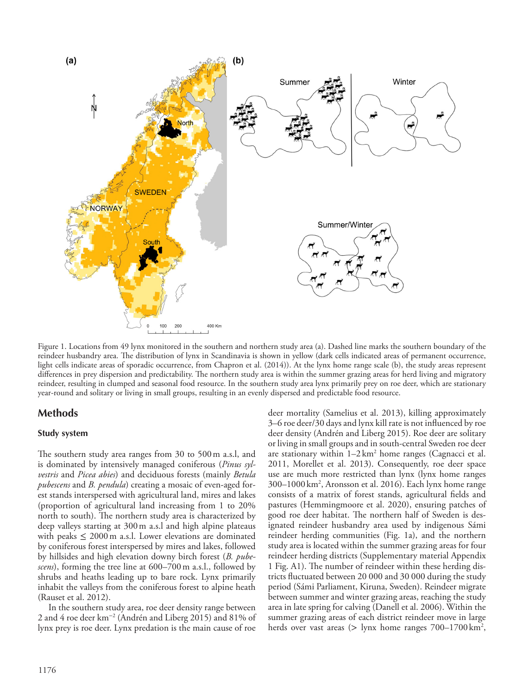

Figure 1. Locations from 49 lynx monitored in the southern and northern study area (a). Dashed line marks the southern boundary of the reindeer husbandry area. The distribution of lynx in Scandinavia is shown in yellow (dark cells indicated areas of permanent occurrence, light cells indicate areas of sporadic occurrence, from Chapron et al. (2014)). At the lynx home range scale (b), the study areas represent differences in prey dispersion and predictability. The northern study area is within the summer grazing areas for herd living and migratory reindeer, resulting in clumped and seasonal food resource. In the southern study area lynx primarily prey on roe deer, which are stationary year-round and solitary or living in small groups, resulting in an evenly dispersed and predictable food resource.

## **Methods**

#### **Study system**

The southern study area ranges from 30 to 500m a.s.l, and is dominated by intensively managed coniferous (*Pinus sylvestris* and *Picea abies*) and deciduous forests (mainly *Betula pubescens* and *B. pendula*) creating a mosaic of even-aged forest stands interspersed with agricultural land, mires and lakes (proportion of agricultural land increasing from 1 to 20% north to south). The northern study area is characterized by deep valleys starting at 300m a.s.l and high alpine plateaus with peaks  $\leq 2000$  m a.s.l. Lower elevations are dominated by coniferous forest interspersed by mires and lakes, followed by hillsides and high elevation downy birch forest (*B. pubescens*), forming the tree line at 600–700m a.s.l., followed by shrubs and heaths leading up to bare rock. Lynx primarily inhabit the valleys from the coniferous forest to alpine heath (Rauset et al. 2012).

In the southern study area, roe deer density range between 2 and 4 roe deer km<sup>−</sup><sup>2</sup> (Andrén and Liberg 2015) and 81% of lynx prey is roe deer. Lynx predation is the main cause of roe

deer mortality (Samelius et al. 2013), killing approximately 3–6 roe deer/30 days and lynx kill rate is not influenced by roe deer density (Andrén and Liberg 2015). Roe deer are solitary or living in small groups and in south-central Sweden roe deer are stationary within 1–2 km<sup>2</sup> home ranges (Cagnacci et al. 2011, Morellet et al. 2013). Consequently, roe deer space use are much more restricted than lynx (lynx home ranges 300–1000km2 , Aronsson et al. 2016). Each lynx home range consists of a matrix of forest stands, agricultural fields and pastures (Hemmingmoore et al. 2020), ensuring patches of good roe deer habitat. The northern half of Sweden is designated reindeer husbandry area used by indigenous Sámi reindeer herding communities (Fig. 1a), and the northern study area is located within the summer grazing areas for four reindeer herding districts (Supplementary material Appendix 1 Fig. A1). The number of reindeer within these herding districts fluctuated between 20 000 and 30 000 during the study period (Sámi Parliament, Kiruna, Sweden). Reindeer migrate between summer and winter grazing areas, reaching the study area in late spring for calving (Danell et al. 2006). Within the summer grazing areas of each district reindeer move in large herds over vast areas (> lynx home ranges 700-1700 km<sup>2</sup>,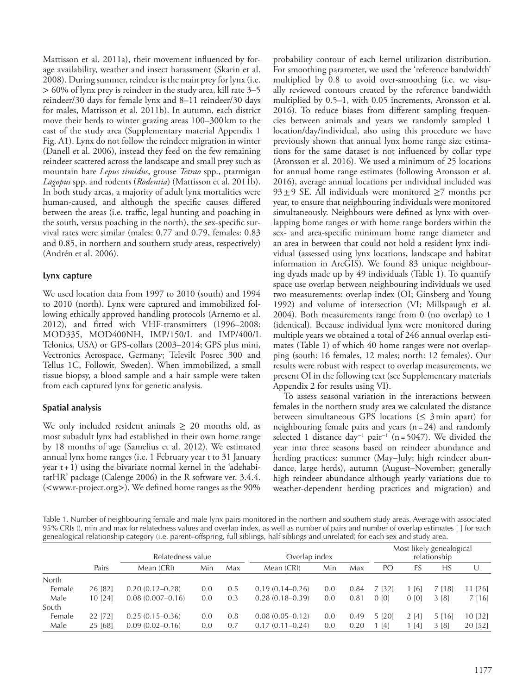Mattisson et al. 2011a), their movement influenced by forage availability, weather and insect harassment (Skarin et al. 2008). During summer, reindeer is the main prey for lynx (i.e. > 60% of lynx prey is reindeer in the study area, kill rate 3–5 reindeer/30 days for female lynx and 8–11 reindeer/30 days for males, Mattisson et al. 2011b). In autumn, each district move their herds to winter grazing areas 100–300 km to the east of the study area (Supplementary material Appendix 1 Fig. A1). Lynx do not follow the reindeer migration in winter (Danell et al. 2006), instead they feed on the few remaining reindeer scattered across the landscape and small prey such as mountain hare *Lepus timidus*, grouse *Tetrao* spp., ptarmigan *Lagopus* spp. and rodents (*Rodentia*) (Mattisson et al. 2011b). In both study areas, a majority of adult lynx mortalities were human-caused, and although the specific causes differed between the areas (i.e. traffic, legal hunting and poaching in the south, versus poaching in the north), the sex-specific survival rates were similar (males: 0.77 and 0.79, females: 0.83 and 0.85, in northern and southern study areas, respectively) (Andrén et al. 2006).

### **Lynx capture**

We used location data from 1997 to 2010 (south) and 1994 to 2010 (north). Lynx were captured and immobilized following ethically approved handling protocols (Arnemo et al. 2012), and fitted with VHF-transmitters (1996–2008: MOD335, MOD400NH, IMP/150/L and IMP/400/L Telonics, USA) or GPS-collars (2003–2014; GPS plus mini, Vectronics Aerospace, Germany; Televilt Posrec 300 and Tellus 1C, Followit, Sweden). When immobilized, a small tissue biopsy, a blood sample and a hair sample were taken from each captured lynx for genetic analysis.

## **Spatial analysis**

We only included resident animals  $\geq$  20 months old, as most subadult lynx had established in their own home range by 18 months of age (Samelius et al. 2012). We estimated annual lynx home ranges (i.e. 1 February year t to 31 January year t+ 1) using the bivariate normal kernel in the 'adehabitatHR' package (Calenge 2006) in the R software ver. 3.4.4. (<www.r-project.org>). We defined home ranges as the 90% probability contour of each kernel utilization distribution. For smoothing parameter, we used the 'reference bandwidth' multiplied by 0.8 to avoid over-smoothing (i.e. we visually reviewed contours created by the reference bandwidth multiplied by 0.5–1, with 0.05 increments, Aronsson et al. 2016). To reduce biases from different sampling frequencies between animals and years we randomly sampled 1 location/day/individual, also using this procedure we have previously shown that annual lynx home range size estimations for the same dataset is not influenced by collar type (Aronsson et al. 2016). We used a minimum of 25 locations for annual home range estimates (following Aronsson et al. 2016), average annual locations per individual included was 93 $\pm$ 9 SE. All individuals were monitored  $\geq$ 7 months per year, to ensure that neighbouring individuals were monitored simultaneously. Neighbours were defined as lynx with overlapping home ranges or with home range borders within the sex- and area-specific minimum home range diameter and an area in between that could not hold a resident lynx individual (assessed using lynx locations, landscape and habitat information in ArcGIS). We found 83 unique neighbouring dyads made up by 49 individuals (Table 1). To quantify space use overlap between neighbouring individuals we used two measurements: overlap index (OI; Ginsberg and Young 1992) and volume of intersection (VI; Millspaugh et al. 2004). Both measurements range from 0 (no overlap) to 1 (identical). Because individual lynx were monitored during multiple years we obtained a total of 246 annual overlap estimates (Table 1) of which 40 home ranges were not overlapping (south: 16 females, 12 males; north: 12 females). Our results were robust with respect to overlap measurements, we present OI in the following text (see Supplementary materials Appendix 2 for results using VI).

To assess seasonal variation in the interactions between females in the northern study area we calculated the distance between simultaneous GPS locations ( $\leq$  3 min apart) for neighbouring female pairs and years (n= 24) and randomly selected 1 distance day<sup>-1</sup> pair<sup>-1</sup> (n=5047). We divided the year into three seasons based on reindeer abundance and herding practices: summer (May–July; high reindeer abundance, large herds), autumn (August–November; generally high reindeer abundance although yearly variations due to weather-dependent herding practices and migration) and

Table 1. Number of neighbouring female and male lynx pairs monitored in the northern and southern study areas. Average with associated 95% CRIs (), min and max for relatedness values and overlap index, as well as number of pairs and number of overlap estimates [ ] for each genealogical relationship category (i.e. parent–offspring, full siblings, half siblings and unrelated) for each sex and study area.

|              |         | Relatedness value   |     |     | Overlap index       |     |      | Most likely genealogical<br>relationship |         |        |         |
|--------------|---------|---------------------|-----|-----|---------------------|-----|------|------------------------------------------|---------|--------|---------|
|              | Pairs   | Mean (CRI)          | Min | Max | Mean (CRI)          | Min | Max  | PO                                       | FS      | HS     | U       |
| <b>North</b> |         |                     |     |     |                     |     |      |                                          |         |        |         |
| Female       | 26 [82] | $0.20(0.12 - 0.28)$ | 0.0 | 0.5 | $0.19(0.14 - 0.26)$ | 0.0 | 0.84 | 7 [32]                                   | l [6]   | 7 [18] | 11 [26] |
| Male         | 10 [24] | $0.08(0.007-0.16)$  | 0.0 | 0.3 | $0.28(0.18 - 0.39)$ | 0.0 | 0.81 | $0$ [0]                                  | $0$ [0] | 3[8]   | 7[16]   |
| South        |         |                     |     |     |                     |     |      |                                          |         |        |         |
| Female       | 22 [72] | $0.25(0.15-0.36)$   | 0.0 | 0.8 | $0.08(0.05 - 0.12)$ | 0.0 | 0.49 | 5 [20]                                   | 2[4]    | 5 [16] | 10 [32] |
| Male         | 25 [68] | $0.09(0.02-0.16)$   | 0.0 | 0.7 | $0.17(0.11 - 0.24)$ | 0.0 | 0.20 | [4]                                      | 1 [4]   | 3[8]   | 20 [52] |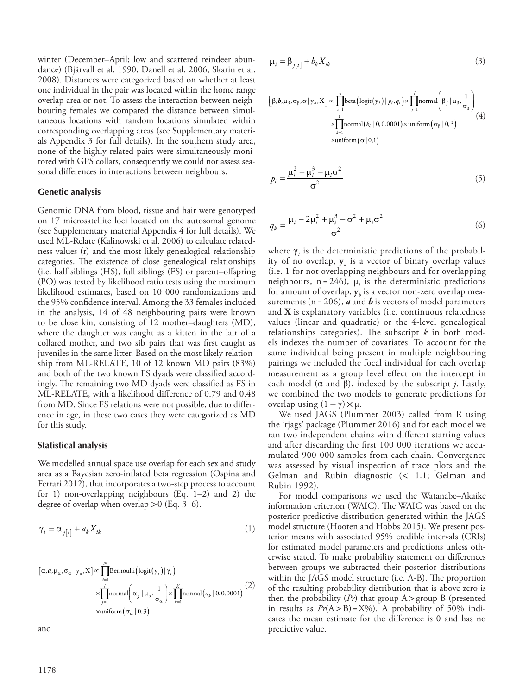winter (December–April; low and scattered reindeer abundance) (Bjärvall et al. 1990, Danell et al. 2006, Skarin et al. 2008). Distances were categorized based on whether at least one individual in the pair was located within the home range overlap area or not. To assess the interaction between neighbouring females we compared the distance between simultaneous locations with random locations simulated within corresponding overlapping areas (see Supplementary materials Appendix 3 for full details). In the southern study area, none of the highly related pairs were simultaneously monitored with GPS collars, consequently we could not assess seasonal differences in interactions between neighbours.

#### **Genetic analysis**

Genomic DNA from blood, tissue and hair were genotyped on 17 microsatellite loci located on the autosomal genome (see Supplementary material Appendix 4 for full details). We used ML-Relate (Kalinowski et al. 2006) to calculate relatedness values (r) and the most likely genealogical relationship categories. The existence of close genealogical relationships (i.e. half siblings (HS), full siblings (FS) or parent–offspring (PO) was tested by likelihood ratio tests using the maximum likelihood estimates, based on 10 000 randomizations and the 95% confidence interval. Among the 33 females included in the analysis, 14 of 48 neighbouring pairs were known to be close kin, consisting of 12 mother–daughters (MD), where the daughter was caught as a kitten in the lair of a collared mother, and two sib pairs that was first caught as juveniles in the same litter. Based on the most likely relationship from ML-RELATE, 10 of 12 known MD pairs (83%) and both of the two known FS dyads were classified accordingly. The remaining two MD dyads were classified as FS in ML-RELATE, with a likelihood difference of 0.79 and 0.48 from MD. Since FS relations were not possible, due to difference in age, in these two cases they were categorized as MD for this study.

#### **Statistical analysis**

We modelled annual space use overlap for each sex and study area as a Bayesian zero-inflated beta regression (Ospina and Ferrari 2012), that incorporates a two-step process to account for 1) non-overlapping neighbours (Eq. 1–2) and 2) the degree of overlap when overlap >0 (Eq. 3–6).

$$
\gamma_i = \alpha_{j[i]} + a_k X_{ik} \tag{1}
$$

$$
[\alpha, \boldsymbol{a}, \mu_{\alpha}, \sigma_{\alpha} | y_{\alpha}, X] \propto \prod_{i=1}^{N} \text{Bernoulli}(\text{logit}(y_{i}) | \gamma_{i})
$$
  
\n
$$
\times \prod_{j=1}^{J} \text{normal} \left( \alpha_{j} | \mu_{\alpha}, \frac{1}{\sigma_{\alpha}} \right) \times \prod_{k=1}^{K} \text{normal}(a_{k} | 0, 0.0001)
$$
\n
$$
\times \text{uniform}(\sigma_{\alpha} | 0, 3)
$$
\n(2)

and

$$
\mu_i = \beta_{j[i]} + b_k X_{ik} \tag{3}
$$

$$
\left[\beta, \mathbf{b}, \mu_{\beta}, \sigma_{\beta}, \sigma | \mathbf{y}_{\beta}, \mathbf{X}\right] \propto \prod_{i=1}^{n} \text{beta}\left(\text{logit}\left(\mathbf{y}_{i}\right) | \mathbf{p}_{i}, \mathbf{q}_{i}\right) \times \prod_{j=1}^{J} \text{normal}\left(\beta_{j} | \mu_{\beta}, \frac{1}{\sigma_{\beta}}\right) \times \prod_{k=1}^{k} \text{normal}\left(\mathbf{b}_{k} | 0, 0.0001\right) \times \text{uniform}\left(\sigma_{\beta} | 0, 3\right) \times \text{uniform}\left(\sigma | 0, 1\right)
$$
\n
$$
\left(\frac{1}{\beta}\right)^{2} \times \text{uniform}\left(\frac{1}{\beta}\right) \times \text{uniform}\left(\frac{1}{\beta}\right) \times \text{uniform}\left(\frac{1}{\beta}\right) \times \text{uniform}\left(\frac{1}{\beta}\right) \times \text{uniform}\left(\frac{1}{\beta}\right) \times \text{uniform}\left(\frac{1}{\beta}\right) \times \text{uniform}\left(\frac{1}{\beta}\right) \times \text{uniform}\left(\frac{1}{\beta}\right) \times \text{uniform}\left(\frac{1}{\beta}\right) \times \text{uniform}\left(\frac{1}{\beta}\right) \times \text{uniform}\left(\frac{1}{\beta}\right) \times \text{uniform}\left(\frac{1}{\beta}\right) \times \text{uniform}\left(\frac{1}{\beta}\right) \times \text{uniform}\left(\frac{1}{\beta}\right) \times \text{uniform}\left(\frac{1}{\beta}\right) \times \text{uniform}\left(\frac{1}{\beta}\right) \times \text{uniform}\left(\frac{1}{\beta}\right) \times \text{uniform}\left(\frac{1}{\beta}\right) \times \text{uniform}\left(\frac{1}{\beta}\right) \times \text{uniform}\left(\frac{1}{\beta}\right) \times \text{uniform}\left(\frac{1}{\beta}\right) \times \text{uniform}\left(\frac{1}{\beta}\right) \times \text{uniform}\left(\frac{1}{\beta}\right) \times \text{uniform}\left(\frac{1}{\beta}\right) \times \text{uniform}\left(\frac{1}{\beta}\right) \times \text{uniform}\left(\frac{1}{\beta}\right) \times \text{uniform}\left(\frac{1}{\beta}\right) \times \text{uniform}\left(\frac{1}{\beta}\right) \times \text{uniform}\left(\
$$

$$
p_i = \frac{\mu_i^2 - \mu_i^3 - \mu_i \sigma^2}{\sigma^2} \tag{5}
$$

$$
q_k = \frac{\mu_i - 2\mu_i^2 + \mu_i^3 - \sigma^2 + \mu_i \sigma^2}{\sigma^2}
$$
 (6)

where γ*<sup>i</sup>* is the deterministic predictions of the probability of no overlap, **y***a* is a vector of binary overlap values (i.e. 1 for not overlapping neighbours and for overlapping neighbours,  $n = 246$ ,  $\mu_i$  is the deterministic predictions for amount of overlap,  $y_b$  is a vector non-zero overlap measurements ( $n = 206$ ), **a** and **b** is vectors of model parameters and **X** is explanatory variables (i.e. continuous relatedness values (linear and quadratic) or the 4-level genealogical relationships categories). The subscript *k* in both models indexes the number of covariates. To account for the same individual being present in multiple neighbouring pairings we included the focal individual for each overlap measurement as a group level effect on the intercept in each model ( $\alpha$  and  $\beta$ ), indexed by the subscript *j*. Lastly, we combined the two models to generate predictions for overlap using  $(1 - \gamma) \times \mu$ .

We used JAGS (Plummer 2003) called from R using the 'rjags' package (Plummer 2016) and for each model we ran two independent chains with different starting values and after discarding the first 100 000 iterations we accumulated 900 000 samples from each chain. Convergence was assessed by visual inspection of trace plots and the Gelman and Rubin diagnostic (< 1.1; Gelman and Rubin 1992).

For model comparisons we used the Watanabe–Akaike information criterion (WAIC). The WAIC was based on the posterior predictive distribution generated within the JAGS model structure (Hooten and Hobbs 2015). We present posterior means with associated 95% credible intervals (CRIs) for estimated model parameters and predictions unless otherwise stated. To make probability statement on differences between groups we subtracted their posterior distributions within the JAGS model structure (i.e. A-B). The proportion of the resulting probability distribution that is above zero is then the probability  $(Pr)$  that group  $A >$  group B (presented in results as  $Pr(A > B) = X\%$ ). A probability of 50% indicates the mean estimate for the difference is 0 and has no predictive value.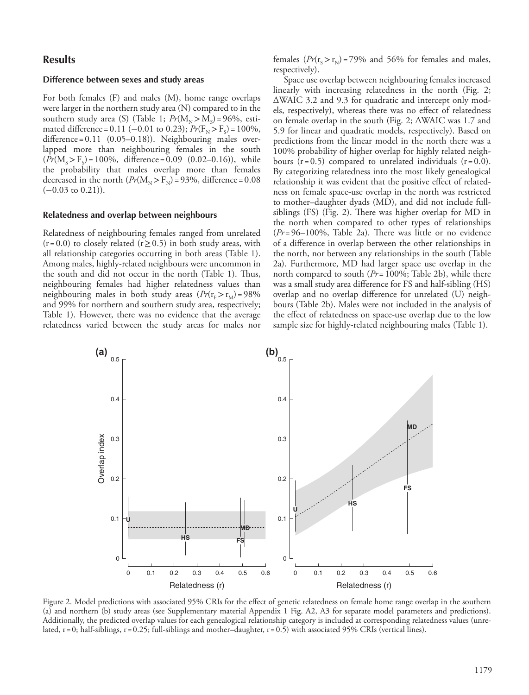## **Results**

#### **Difference between sexes and study areas**

For both females (F) and males (M), home range overlaps were larger in the northern study area (N) compared to in the southern study area (S) (Table 1;  $Pr(M_N > M_S) = 96\%$ , estimated difference = 0.11 (−0.01 to 0.23);  $Pr(F_N > F_S) = 100\%$ , difference=0.11 (0.05–0.18)). Neighbouring males overlapped more than neighbouring females in the south  $(Pr(M<sub>s</sub> > F<sub>s</sub>) = 100\%,$  difference = 0.09 (0.02–0.16)), while the probability that males overlap more than females decreased in the north  $(Pr(M_N > F_N) = 93\%$ , difference = 0.08  $(-0.03 \text{ to } 0.21)$ .

#### **Relatedness and overlap between neighbours**

Relatedness of neighbouring females ranged from unrelated  $(r=0.0)$  to closely related  $(r \ge 0.5)$  in both study areas, with all relationship categories occurring in both areas (Table 1). Among males, highly-related neighbours were uncommon in the south and did not occur in the north (Table 1). Thus, neighbouring females had higher relatedness values than neighbouring males in both study areas  $(Pr(r_E > r_M) = 98\%$ and 99% for northern and southern study area, respectively; Table 1). However, there was no evidence that the average relatedness varied between the study areas for males nor females  $(Pr(r<sub>s</sub> > r<sub>N</sub>) = 79%$  and 56% for females and males, respectively).

Space use overlap between neighbouring females increased linearly with increasing relatedness in the north (Fig. 2; ΔWAIC 3.2 and 9.3 for quadratic and intercept only models, respectively), whereas there was no effect of relatedness on female overlap in the south (Fig. 2; ΔWAIC was 1.7 and 5.9 for linear and quadratic models, respectively). Based on predictions from the linear model in the north there was a 100% probability of higher overlap for highly related neighbours  $(r=0.5)$  compared to unrelated individuals  $(r=0.0)$ . By categorizing relatedness into the most likely genealogical relationship it was evident that the positive effect of relatedness on female space-use overlap in the north was restricted to mother–daughter dyads (MD), and did not include fullsiblings (FS) (Fig. 2). There was higher overlap for MD in the north when compared to other types of relationships (*Pr*=96–100%, Table 2a). There was little or no evidence of a difference in overlap between the other relationships in the north, nor between any relationships in the south (Table 2a). Furthermore, MD had larger space use overlap in the north compared to south (*Pr*=100%; Table 2b), while there was a small study area difference for FS and half-sibling (HS) overlap and no overlap difference for unrelated (U) neighbours (Table 2b). Males were not included in the analysis of the effect of relatedness on space-use overlap due to the low sample size for highly-related neighbouring males (Table 1).



Figure 2. Model predictions with associated 95% CRIs for the effect of genetic relatedness on female home range overlap in the southern (a) and northern (b) study areas (see Supplementary material Appendix 1 Fig. A2, A3 for separate model parameters and predictions). Additionally, the predicted overlap values for each genealogical relationship category is included at corresponding relatedness values (unrelated,  $r = 0$ ; half-siblings,  $r = 0.25$ ; full-siblings and mother–daughter,  $r = 0.5$ ) with associated 95% CRIs (vertical lines).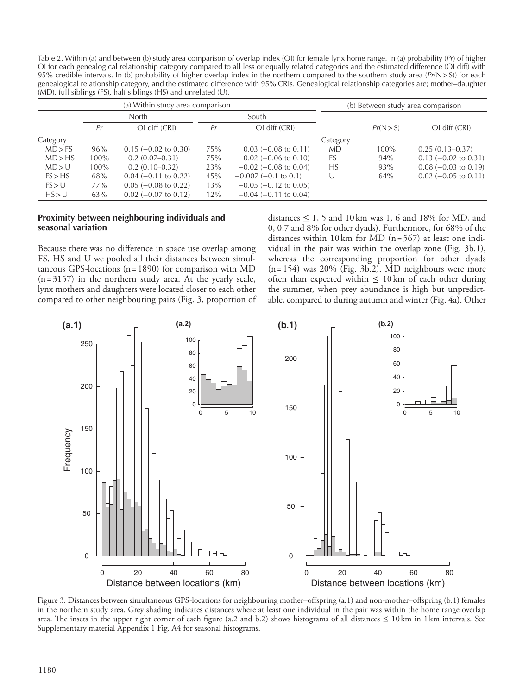Table 2. Within (a) and between (b) study area comparison of overlap index (OI) for female lynx home range. In (a) probability (*Pr*) of higher OI for each genealogical relationship category compared to all less or equally related categories and the estimated difference (OI diff) with 95% credible intervals. In (b) probability of higher overlap index in the northern compared to the southern study area (*Pr*(N>S)) for each genealogical relationship category, and the estimated difference with 95% CRIs. Genealogical relationship categories are; mother–daughter  $(MD)$ , full siblings (FS), half siblings (HS) and unrelated (U).

|          |         | (a) Within study area comparison | (b) Between study area comparison |                            |           |           |                           |
|----------|---------|----------------------------------|-----------------------------------|----------------------------|-----------|-----------|---------------------------|
|          |         | North                            |                                   | South                      |           |           |                           |
|          | Pr      | OI diff (CRI)                    | Pr                                | OI diff (CRI)              |           | Pr(N > S) | OI diff (CRI)             |
| Category |         |                                  |                                   |                            | Category  |           |                           |
| MD > FS  | 96%     | $0.15 (-0.02 \text{ to } 0.30)$  | 75%                               | $0.03$ ( $-0.08$ to 0.11)  | <b>MD</b> | 100%      | $0.25(0.13-0.37)$         |
| MD > HS  | $100\%$ | $0.2(0.07-0.31)$                 | 75%                               | $0.02$ (-0.06 to 0.10)     | FS        | 94%       | $0.13$ (-0.02 to 0.31)    |
| MD > U   | $100\%$ | $0.2(0.10-0.32)$                 | 23%                               | $-0.02$ ( $-0.08$ to 0.04) | HS.       | 93%       | $0.08$ ( $-0.03$ to 0.19) |
| FS > HS  | 68%     | $0.04$ (-0.11 to 0.22)           | 45%                               | $-0.007$ ( $-0.1$ to 0.1)  |           | 64%       | $0.02$ (-0.05 to 0.11)    |
| FS > U   | $77\%$  | $0.05$ ( $-0.08$ to 0.22)        | 13%                               | $-0.05$ ( $-0.12$ to 0.05) |           |           |                           |
| HS > U   | 63%     | $0.02$ (-0.07 to 0.12)           | $12\%$                            | $-0.04$ ( $-0.11$ to 0.04) |           |           |                           |

#### **Proximity between neighbouring individuals and seasonal variation**

Because there was no difference in space use overlap among FS, HS and U we pooled all their distances between simultaneous GPS-locations (n=1890) for comparison with MD  $(n=3157)$  in the northern study area. At the yearly scale, lynx mothers and daughters were located closer to each other compared to other neighbouring pairs (Fig. 3, proportion of distances  $\leq 1$ , 5 and 10 km was 1, 6 and 18% for MD, and 0, 0.7 and 8% for other dyads). Furthermore, for 68% of the distances within 10 km for MD ( $n=567$ ) at least one individual in the pair was within the overlap zone (Fig. 3b.1), whereas the corresponding proportion for other dyads  $(n=154)$  was 20% (Fig. 3b.2). MD neighbours were more often than expected within  $\leq 10 \text{ km}$  of each other during the summer, when prey abundance is high but unpredictable, compared to during autumn and winter (Fig. 4a). Other



Figure 3. Distances between simultaneous GPS-locations for neighbouring mother–offspring (a.1) and non-mother–offspring (b.1) females in the northern study area. Grey shading indicates distances where at least one individual in the pair was within the home range overlap area. The insets in the upper right corner of each figure (a.2 and b.2) shows histograms of all distances  $\leq 10$  km in 1 km intervals. See Supplementary material Appendix 1 Fig. A4 for seasonal histograms.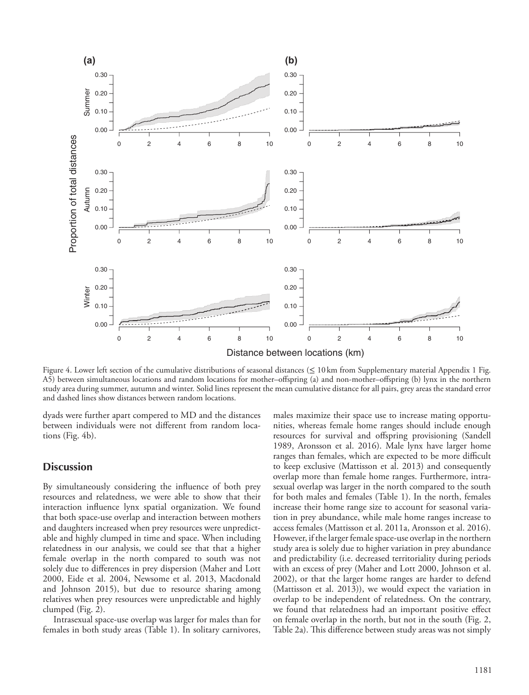

Figure 4. Lower left section of the cumulative distributions of seasonal distances (≤ 10km from Supplementary material Appendix 1 Fig. A5) between simultaneous locations and random locations for mother–offspring (a) and non-mother–offspring (b) lynx in the northern study area during summer, autumn and winter. Solid lines represent the mean cumulative distance for all pairs, grey areas the standard error and dashed lines show distances between random locations.

dyads were further apart compered to MD and the distances between individuals were not different from random locations (Fig. 4b).

### **Discussion**

By simultaneously considering the influence of both prey resources and relatedness, we were able to show that their interaction influence lynx spatial organization. We found that both space-use overlap and interaction between mothers and daughters increased when prey resources were unpredictable and highly clumped in time and space. When including relatedness in our analysis, we could see that that a higher female overlap in the north compared to south was not solely due to differences in prey dispersion (Maher and Lott 2000, Eide et al. 2004, Newsome et al. 2013, Macdonald and Johnson 2015), but due to resource sharing among relatives when prey resources were unpredictable and highly clumped (Fig. 2).

Intrasexual space-use overlap was larger for males than for females in both study areas (Table 1). In solitary carnivores, males maximize their space use to increase mating opportunities, whereas female home ranges should include enough resources for survival and offspring provisioning (Sandell 1989, Aronsson et al. 2016). Male lynx have larger home ranges than females, which are expected to be more difficult to keep exclusive (Mattisson et al. 2013) and consequently overlap more than female home ranges. Furthermore, intrasexual overlap was larger in the north compared to the south for both males and females (Table 1). In the north, females increase their home range size to account for seasonal variation in prey abundance, while male home ranges increase to access females (Mattisson et al. 2011a, Aronsson et al. 2016). However, if the larger female space-use overlap in the northern study area is solely due to higher variation in prey abundance and predictability (i.e. decreased territoriality during periods with an excess of prey (Maher and Lott 2000, Johnson et al. 2002), or that the larger home ranges are harder to defend (Mattisson et al. 2013)), we would expect the variation in overlap to be independent of relatedness. On the contrary, we found that relatedness had an important positive effect on female overlap in the north, but not in the south (Fig. 2, Table 2a). This difference between study areas was not simply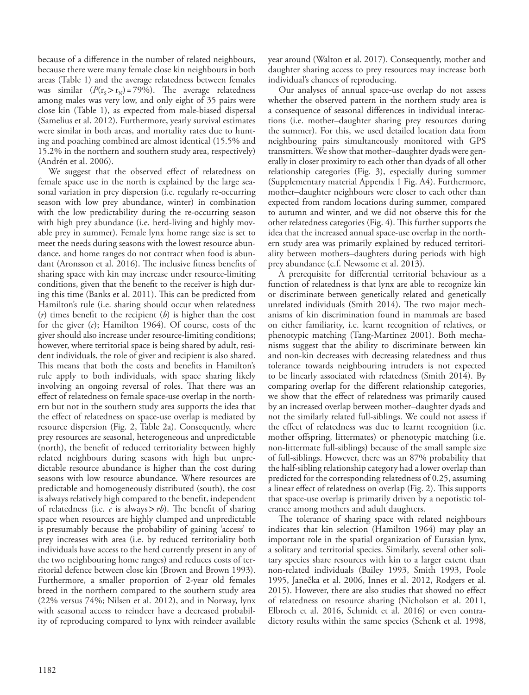because of a difference in the number of related neighbours, because there were many female close kin neighbours in both areas (Table 1) and the average relatedness between females was similar  $(P(r_s > r_{\rm N}) = 79\%)$ . The average relatedness among males was very low, and only eight of 35 pairs were close kin (Table 1), as expected from male-biased dispersal (Samelius et al. 2012). Furthermore, yearly survival estimates were similar in both areas, and mortality rates due to hunting and poaching combined are almost identical (15.5% and 15.2% in the northern and southern study area, respectively) (Andrén et al. 2006).

We suggest that the observed effect of relatedness on female space use in the north is explained by the large seasonal variation in prey dispersion (i.e. regularly re-occurring season with low prey abundance, winter) in combination with the low predictability during the re-occurring season with high prey abundance (i.e. herd-living and highly movable prey in summer). Female lynx home range size is set to meet the needs during seasons with the lowest resource abundance, and home ranges do not contract when food is abundant (Aronsson et al. 2016). The inclusive fitness benefits of sharing space with kin may increase under resource-limiting conditions, given that the benefit to the receiver is high during this time (Banks et al. 2011). This can be predicted from Hamilton's rule (i.e. sharing should occur when relatedness (*r*) times benefit to the recipient (*b*) is higher than the cost for the giver (*c*); Hamilton 1964). Of course, costs of the giver should also increase under resource-limiting conditions; however, where territorial space is being shared by adult, resident individuals, the role of giver and recipient is also shared. This means that both the costs and benefits in Hamilton's rule apply to both individuals, with space sharing likely involving an ongoing reversal of roles. That there was an effect of relatedness on female space-use overlap in the northern but not in the southern study area supports the idea that the effect of relatedness on space-use overlap is mediated by resource dispersion (Fig. 2, Table 2a). Consequently, where prey resources are seasonal, heterogeneous and unpredictable (north), the benefit of reduced territoriality between highly related neighbours during seasons with high but unpredictable resource abundance is higher than the cost during seasons with low resource abundance. Where resources are predictable and homogeneously distributed (south), the cost is always relatively high compared to the benefit, independent of relatedness (i.e.  $c$  is always $>$ rb). The benefit of sharing space when resources are highly clumped and unpredictable is presumably because the probability of gaining 'access' to prey increases with area (i.e. by reduced territoriality both individuals have access to the herd currently present in any of the two neighbouring home ranges) and reduces costs of territorial defence between close kin (Brown and Brown 1993). Furthermore, a smaller proportion of 2-year old females breed in the northern compared to the southern study area (22% versus 74%; Nilsen et al. 2012), and in Norway, lynx with seasonal access to reindeer have a decreased probability of reproducing compared to lynx with reindeer available

year around (Walton et al. 2017). Consequently, mother and daughter sharing access to prey resources may increase both individual's chances of reproducing.

Our analyses of annual space-use overlap do not assess whether the observed pattern in the northern study area is a consequence of seasonal differences in individual interactions (i.e. mother–daughter sharing prey resources during the summer). For this, we used detailed location data from neighbouring pairs simultaneously monitored with GPS transmitters. We show that mother–daughter dyads were generally in closer proximity to each other than dyads of all other relationship categories (Fig. 3), especially during summer (Supplementary material Appendix 1 Fig. A4). Furthermore, mother–daughter neighbours were closer to each other than expected from random locations during summer, compared to autumn and winter, and we did not observe this for the other relatedness categories (Fig. 4). This further supports the idea that the increased annual space-use overlap in the northern study area was primarily explained by reduced territoriality between mothers–daughters during periods with high prey abundance (c.f. Newsome et al. 2013).

A prerequisite for differential territorial behaviour as a function of relatedness is that lynx are able to recognize kin or discriminate between genetically related and genetically unrelated individuals (Smith 2014). The two major mechanisms of kin discrimination found in mammals are based on either familiarity, i.e. learnt recognition of relatives, or phenotypic matching (Tang-Martinez 2001). Both mechanisms suggest that the ability to discriminate between kin and non-kin decreases with decreasing relatedness and thus tolerance towards neighbouring intruders is not expected to be linearly associated with relatedness (Smith 2014). By comparing overlap for the different relationship categories, we show that the effect of relatedness was primarily caused by an increased overlap between mother–daughter dyads and not the similarly related full-siblings. We could not assess if the effect of relatedness was due to learnt recognition (i.e. mother offspring, littermates) or phenotypic matching (i.e. non-littermate full-siblings) because of the small sample size of full-siblings. However, there was an 87% probability that the half-sibling relationship category had a lower overlap than predicted for the corresponding relatedness of 0.25, assuming a linear effect of relatedness on overlap (Fig. 2). This supports that space-use overlap is primarily driven by a nepotistic tolerance among mothers and adult daughters.

The tolerance of sharing space with related neighbours indicates that kin selection (Hamilton 1964) may play an important role in the spatial organization of Eurasian lynx, a solitary and territorial species. Similarly, several other solitary species share resources with kin to a larger extent than non-related individuals (Bailey 1993, Smith 1993, Poole 1995, Janečka et al. 2006, Innes et al. 2012, Rodgers et al. 2015). However, there are also studies that showed no effect of relatedness on resource sharing (Nicholson et al. 2011, Elbroch et al. 2016, Schmidt et al. 2016) or even contradictory results within the same species (Schenk et al. 1998,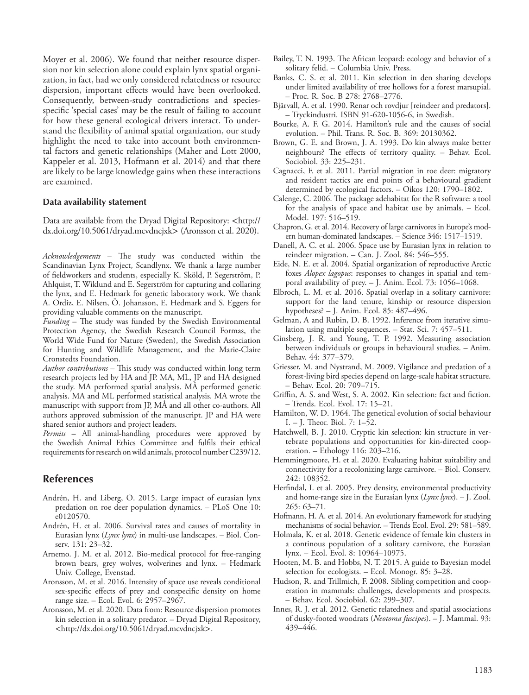Moyer et al. 2006). We found that neither resource dispersion nor kin selection alone could explain lynx spatial organization, in fact, had we only considered relatedness or resource dispersion, important effects would have been overlooked. Consequently, between-study contradictions and speciesspecific 'special cases' may be the result of failing to account for how these general ecological drivers interact. To understand the flexibility of animal spatial organization, our study highlight the need to take into account both environmental factors and genetic relationships (Maher and Lott 2000, Kappeler et al. 2013, Hofmann et al. 2014) and that there are likely to be large knowledge gains when these interactions are examined.

#### **Data availability statement**

Data are available from the Dryad Digital Repository: <http:// dx.doi.org/10.5061/dryad.mcvdncjxk> (Aronsson et al. 2020).

*Acknowledgements* – The study was conducted within the Scandinavian Lynx Project, Scandlynx. We thank a large number of fieldworkers and students, especially K. Sköld, P. Segerström, P. Ahlquist, T. Wiklund and E. Segerström for capturing and collaring the lynx, and E. Hedmark for genetic laboratory work. We thank A. Ordiz, E. Nilsen, Ö. Johansson, E. Hedmark and S. Eggers for providing valuable comments on the manuscript.

*Funding* – The study was funded by the Swedish Environmental Protection Agency, the Swedish Research Council Formas, the World Wide Fund for Nature (Sweden), the Swedish Association for Hunting and Wildlife Management, and the Marie-Claire Cronstedts Foundation.

*Author contributions* – This study was conducted within long term research projects led by HA and JP. MA, ML, JP and HA designed the study. MA performed spatial analysis. MÅ performed genetic analysis. MA and ML performed statistical analysis. MA wrote the manuscript with support from JP, MÅ and all other co-authors. All authors approved submission of the manuscript. JP and HA were shared senior authors and project leaders.

*Permits* – All animal-handling procedures were approved by the Swedish Animal Ethics Committee and fulfils their ethical requirements for research on wild animals, protocol number C239/12.

## **References**

- Andrén, H. and Liberg, O. 2015. Large impact of eurasian lynx predation on roe deer population dynamics. – PLoS One 10: e0120570.
- Andrén, H. et al. 2006. Survival rates and causes of mortality in Eurasian lynx (*Lynx lynx*) in multi-use landscapes. – Biol. Conserv. 131: 23–32.
- Arnemo. J. M. et al. 2012. Bio-medical protocol for free-ranging brown bears, grey wolves, wolverines and lynx. – Hedmark Univ. College, Evenstad.
- Aronsson, M. et al. 2016. Intensity of space use reveals conditional sex-specific effects of prey and conspecific density on home range size. – Ecol. Evol. 6: 2957–2967.
- Aronsson, M. et al. 2020. Data from: Resource dispersion promotes kin selection in a solitary predator. – Dryad Digital Repository, <http://dx.doi.org/10.5061/dryad.mcvdncjxk>.
- Bailey, T. N. 1993. The African leopard: ecology and behavior of a solitary felid. – Columbia Univ. Press.
- Banks, C. S. et al. 2011. Kin selection in den sharing develops under limited availability of tree hollows for a forest marsupial. – Proc. R. Soc. B 278: 2768–2776.
- Bjärvall, A. et al. 1990. Renar och rovdjur [reindeer and predators]. – Tryckindustri. ISBN 91-620-1056-6, in Swedish.
- Bourke, A. F. G. 2014. Hamilton's rule and the causes of social evolution. – Phil. Trans. R. Soc. B. 369: 20130362.
- Brown, G. E. and Brown, J. A. 1993. Do kin always make better neighbours? The effects of territory quality. – Behav. Ecol. Sociobiol. 33: 225–231.
- Cagnacci, F. et al. 2011. Partial migration in roe deer: migratory and resident tactics are end points of a behavioural gradient determined by ecological factors. – Oikos 120: 1790–1802.
- Calenge, C. 2006. The package adehabitat for the R software: a tool for the analysis of space and habitat use by animals. – Ecol. Model. 197: 516–519.
- Chapron, G. et al. 2014. Recovery of large carnivores in Europe's modern human-dominated landscapes. – Science 346: 1517–1519.
- Danell, A. C. et al. 2006. Space use by Eurasian lynx in relation to reindeer migration. – Can. J. Zool. 84: 546–555.
- Eide, N. E. et al. 2004. Spatial organization of reproductive Arctic foxes *Alopex lagopus*: responses to changes in spatial and temporal availability of prey. – J. Anim. Ecol. 73: 1056–1068.
- Elbroch, L. M. et al. 2016. Spatial overlap in a solitary carnivore: support for the land tenure, kinship or resource dispersion hypotheses? – J. Anim. Ecol. 85: 487–496.
- Gelman, A and Rubin, D. B. 1992. Inference from iterative simulation using multiple sequences. – Stat. Sci. 7: 457–511.
- Ginsberg, J. R. and Young, T. P. 1992. Measuring association between individuals or groups in behavioural studies. – Anim. Behav. 44: 377–379.
- Griesser, M. and Nystrand, M. 2009. Vigilance and predation of a forest-living bird species depend on large-scale habitat structure. – Behav. Ecol. 20: 709–715.
- Griffin, A. S. and West, S. A. 2002. Kin selection: fact and fiction. – Trends. Ecol. Evol. 17: 15–21.
- Hamilton, W. D. 1964. The genetical evolution of social behaviour I. – J. Theor. Biol. 7: 1–52.
- Hatchwell, B. J. 2010. Cryptic kin selection: kin structure in vertebrate populations and opportunities for kin-directed cooperation. – Ethology 116: 203–216.
- Hemmingmoore, H. et al. 2020. Evaluating habitat suitability and connectivity for a recolonizing large carnivore. – Biol. Conserv. 242: 108352.
- Herfindal, I. et al. 2005. Prey density, environmental productivity and home-range size in the Eurasian lynx (*Lynx lynx*). – J. Zool. 265: 63–71.
- Hofmann, H. A. et al. 2014. An evolutionary framework for studying mechanisms of social behavior. – Trends Ecol. Evol. 29: 581–589.
- Holmala, K. et al. 2018. Genetic evidence of female kin clusters in a continous population of a solitary carnivore, the Eurasian lynx. – Ecol. Evol. 8: 10964–10975.
- Hooten, M. B. and Hobbs, N. T. 2015. A guide to Bayesian model selection for ecologists. – Ecol. Monogr. 85: 3–28.
- Hudson, R. and Trillmich, F. 2008. Sibling competition and cooperation in mammals: challenges, developments and prospects. – Behav. Ecol. Sociobiol. 62: 299–307.
- Innes, R. J. et al. 2012. Genetic relatedness and spatial associations of dusky-footed woodrats (*Neotoma fuscipes*). – J. Mammal. 93: 439–446.